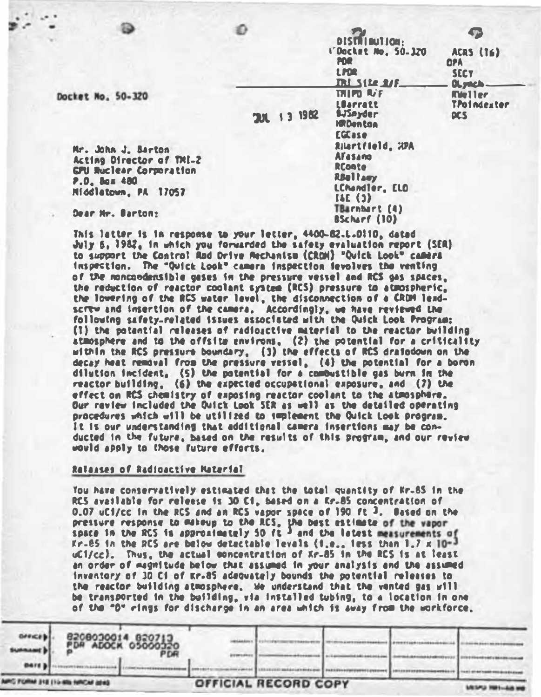|                                                                      |              | nu.<br><b>LPDR</b><br><b>DULSILE AVE.</b>                                                  |
|----------------------------------------------------------------------|--------------|--------------------------------------------------------------------------------------------|
| $0 - 320$                                                            | 13 1982<br>m | 1月17日 叫下<br><b>LBarratt</b><br><b>BJSnyder</b><br><b>ISR Den ton</b><br>ECCase             |
| J. Barton<br>rector of TMI-2<br>ar Corporation<br>480<br>n. PA 17057 |              | Rilartfleld. 20<br>Afasano<br><b>RConte</b><br><b>RBellam</b><br>LCMondler, ELC<br>[4E(3)] |
| $0 - 0 - 0$                                                          |              | TBarnbart (4)                                                                              |

**DISTRIBUTION:** L'Docket No. 50.170

**BScharf (10)** 

ACRS (TE) **nea** SFCY OLymph-**Meller** 

**TPoindester DES** 

Docket No. 5

Mr. John Acting Di **GPU Bucle** P.O. Box **Hiddletow** 

Dear Nr. Barton:

This latter is in response to your letter, 4400-82.L.O!1D. dated July 6, 1982, in which you forwarded the safety evaluation report (SER) to support the Control Rad Drive Rechanise (CROH) "Ouick Look" camera inspection. The "Ouick Look" camera inspection fevolves the venting of the moncondensible gases in the pressure vessel and RCS gas spaces. the reduction of reactor coolant system (RCS) pressure to atmospheric. the lowering of the RCS water level, the disconnection of a CRDM leadscrew and insertion of the camera, Accordingly, we have reviewed the following safety-related issues associated with the Ouick Look Program: (1) the potential releases of radiosctive material to the reactor building atmosphere and to the offsite environs, (2) the potential for a criticality within the RCS pressure boundary. (3) the effects of RCS draindown on the decay heat removal from the pressure vessel, (4) the potential for a boron dilution incident. (5) the potential for a combustible gas burn in the reactor building, (6) the expected occupational exposure. and (7) the effect on RCS chemistry of exposing reactor coolant to the atmosphere. Our review included the Duick Look SER as well as the detailed operating procedures which will be utilized to implement the Ouick Look program. It is our understanding that additional camera insertions may be conducted in the future, based on the results of this program, and our review would apply to those future efforts.

#### Ralasses of Radioactive Material

Tou have conservatively estimated that the total quantity of Kr-65 in the RCS available for release is 30 C1, based on a Rr.85 concentration of 0.07 uC1/cc in the RCS and an RCS vapor space of 190 ft 3. Based on the pressure response to makeup to the RCS, the best estimate of the vapor<br>space in the RCS is approximately 50 ft  $\frac{1}{2}$  and the latest measurements of Kr.85 in the RCS are below detectable levals (i.e., iess than 1.7 x 10-3 uCl/cc). Thus, the actual concentration of Kr-85 in the RCS is at least an order of magnitude below that assumed in your analysis and the assumed inventory of 30 C1 of Kr-85 adequately bounds the potential releases to the reactor building atmosphere. We understand that the vented gas will be transported in the building, yia installed tubing, to a location in one of the "D" rings for discharge in an area which is away from the workforce,

| <b>SURRANE</b><br><b>BATE 3</b>     | 8208030014 820713<br>PDR ADOCK 05000320 |                      |  |  |
|-------------------------------------|-----------------------------------------|----------------------|--|--|
| WHO FORM 318 IT'S 60% NINCAF ISSN - |                                         | OFFICIAL RECORD COPY |  |  |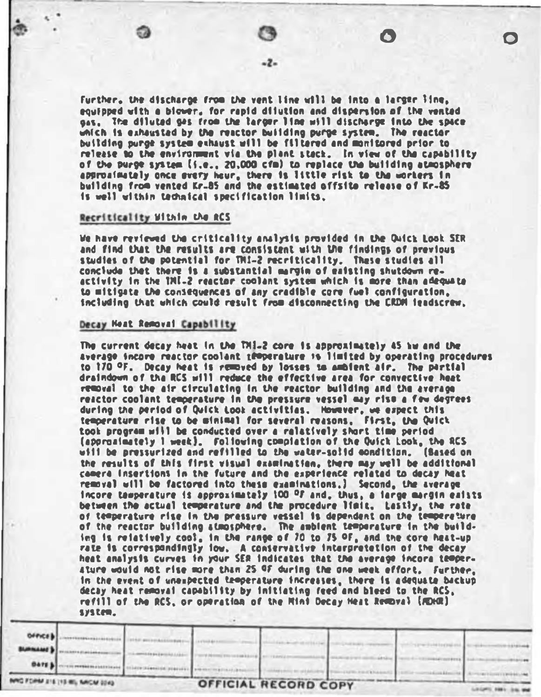Further, the discharge from the vent line will be into a larger line, equipped with a biower, for rapid dilution and dispersion of the vented nas. The diluted nes from the targer line will discharge into the space which is exhausted by the reactor building purge system. The reactor building purch system exhaust will be filtered and monitored prior to release to the environment via the plant stack. In view of the capability of the purge system (i.e., 20.000 cfm) to replace the building atmosphere approainately once every hour, there is little risk to the workers in building from vented Kr.85 and the estimated offsite release of Kr.85 is well within technical specification limits.

# Recriticality Within the RCS

We have reviewed the criticality analysis provided in the Owick Look SER and find that the results are consistent with the findings of previous studies of the potential for TMI-2 recriticality. These studies all conclude that there is a substantial margin of eaisting shutdown reactivity in the 1ML-2 reactor coolant system which is more than adequate to mitigate the consequences of any credible core fuel configuration. including that which could result from disconnecting the CRDM ieadscrew.

# Decay Neat Removal Capability

The current decay heat in the THI-2 core is approximately 45 hw and the average incore reactor coolant temperature is limited by operating procedures to 170 °F. Decay heat is removed by losses to ambient air. The partial draindown of the RCS will reduce the effective area for convective heat removal to the air circulating in the reactor building and the average reactor coolent temperature in the pressure vessel may rise a few degrees during the period of Quick Look activities. However, we expect this temperature rise to be minimal for several reasons, First, the Quick took program will be conducted over a ralatively short time period (approximately 1 week). Following completion of the Ouick Look, the RCS will be pressurized and refilled to the water-solid condition. (Sased on the results of this first visual examination, there may well be additional comera insertions in the future and the experience related to decay heat removal will be factored into these examinations.] Second, the average incore temperature is approximately 100 OF and, thus, a large margin exists between the actual temperature and the procedure limit. Lastly, the rate of temperature rise in the pressure vessel is dependent on the temperature of the reactor building atmosphere. The ambient temporature in the building is relatively cool. In the range of 70 to 75 OF, and the core heat-up rate is correspondingly low. A conservative interpretetion of the decay heat analysis curves in your SER indicates that the average incora temper-Ature would not rise more than 25 OF during the one week effort. Further. In the event of unexpected troperature increases, there is adequate backup decay heat removal capability by initiating reed and bleed to the RCS. refill of the RCS, or operation of the Mini Decay Heat Removal (MDHR) system.

|                   | INVO FORM 216 113 WIL NACM 2043 |  | OFFICIAL RECORD COPY |  |  |
|-------------------|---------------------------------|--|----------------------|--|--|
| <b>BATE &amp;</b> |                                 |  |                      |  |  |
|                   |                                 |  |                      |  |  |
| <b>BURNAMES</b>   |                                 |  |                      |  |  |
| DePice b          |                                 |  |                      |  |  |
|                   |                                 |  |                      |  |  |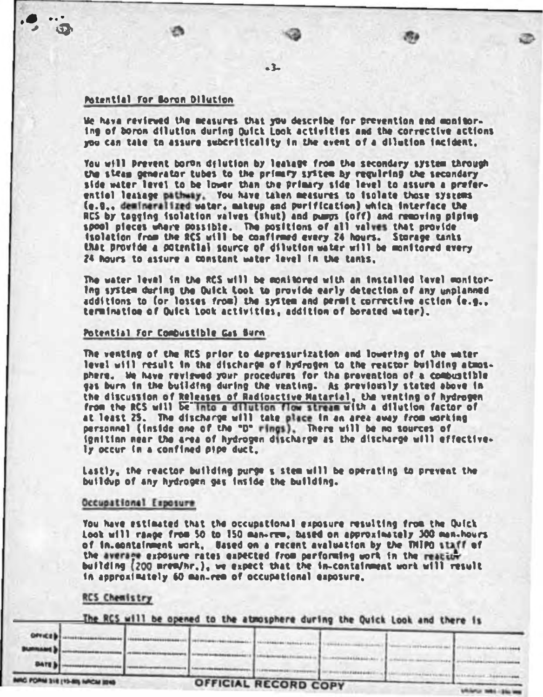# Potential for Boron Dilution

**VA** 

 $5h$ 

We have reviewed the measures that you describe for prevention end monitoring of boron dilution during Duick Look activities and the corrective actions you can take to assure subcriticality in the event of a dilution incident.

 $-3-$ 

You will prevent boron dilution by leatest from the secondary system through the steam concreter tubes to the primary system by regulring the secondary side water level to be lower than the primary side level to assure a preferential leatage pathway. You have taken measures to isolate those systems (e.g., demineralized water, mateup and purification) which interface the RCS by tagging isolation valves (shut) and pumps (off) and removing piping spool pieces where possible. The positions of all valves that provide<br>isolation from the RCS will be confirmed every 24 hours. Storage tants that provide a potential source of dilution water will be monitored every 24 hours to assure a constant water level in the tanks.

The water level in the RCS will be monitored with an installed lavel monitor-Ing system during the Duick Look to provide early detection of any unplanned additions to for losses from) the system and permit corrective action (e.g., termination of Duick Look activities, addition of borated water).

#### Potential For Combustible Gas Surn

The venting of the RCS prior to depressurization and lowering of the water level will result in the discharge of hydrogen to the reactor building atmosphere. We have reviewed your procedures for the prevention of a combustible gas burn in the building during the venting. As previously stated above in the discussion of Releases of Radioactive Matarial, the venting of hydrogen from the RCS will be into a dilution flow stream with a dilution factor of at least 25. The discharge will take place in an area away from working personnel (inside one of the "D" rings). There will be no sources of ionition mear the area of hydrogen discharge as the discharge will effectively occur in a confined pipe duct.

Lastly, the reactor building purge s stem will be operating to prevent the buildup of any hydrogen gas inside the building.

# Occupational Exposure

You have estimated that the occupational exposure resulting from the Quick Look will range from 50 to 150 man-rew, based on approximately 300 man-hours of in containment work, Ussed on a recent avaluation by the TNIPO staff of the average exposure rates eapected from performing work in the reactor building (200 mrew/hr.), we expect that the in-containment work will result In approximately 60 man-rem of occupational exposure.

#### **RCS Chemistry**

The RCS will be opened to the atmosphere during the Quick Look and there is

| <b>BATES!</b>         |  |  |  |  |
|-----------------------|--|--|--|--|
|                       |  |  |  |  |
|                       |  |  |  |  |
| <b>BURNAME &amp; </b> |  |  |  |  |
| OFFICED               |  |  |  |  |